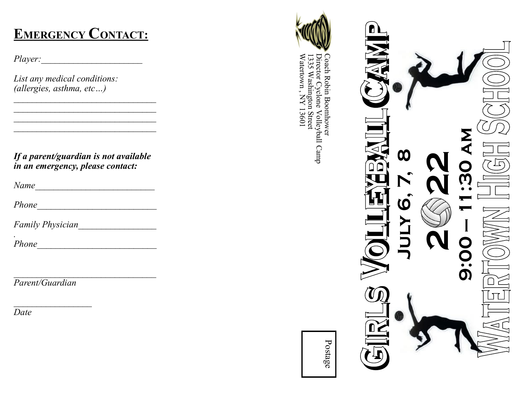### **EMERGENCY CONTACT :**

*Player:* 

*List any medical conditions: (allergies, asthma, etc…)*

*If a parent/guardian is not available in an emergency, please contact:*

*\_\_\_\_\_\_\_\_\_\_\_\_\_\_\_\_\_\_\_\_\_\_\_\_\_\_\_\_\_\_\_ \_\_\_\_\_\_\_\_\_\_\_\_\_\_\_\_\_\_\_\_\_\_\_\_\_\_\_\_\_\_\_*

*Name\_\_\_\_\_\_\_\_\_\_\_\_\_\_\_\_\_\_\_\_\_\_\_\_\_\_*

*Phone\_\_\_\_\_\_\_\_\_\_\_\_\_\_\_\_\_\_\_\_\_\_\_\_\_\_*

*Family Physician\_\_\_\_\_\_\_\_\_\_\_\_\_\_\_\_\_*

*. Phone* 

*Parent/Guardian*

*\_\_\_\_\_\_\_\_\_\_\_\_\_\_\_\_\_*

*Date*



Watertown , NY 13601 Director Cyclone Volleyball Camp 1335 Washington Street<br>Watertown , NY 13601 1335 Washington Street Coach Robin Boomhower Director Cyclone Volleyball Camp Coach Robin Boomhower

**July 6, 7, 8** 

(Q

 $\boldsymbol{\omega}$ 

 $\mathbf{N}$ 

**2222**<br>2222<br>2222

**9:00 — 11:30 am**

Postage